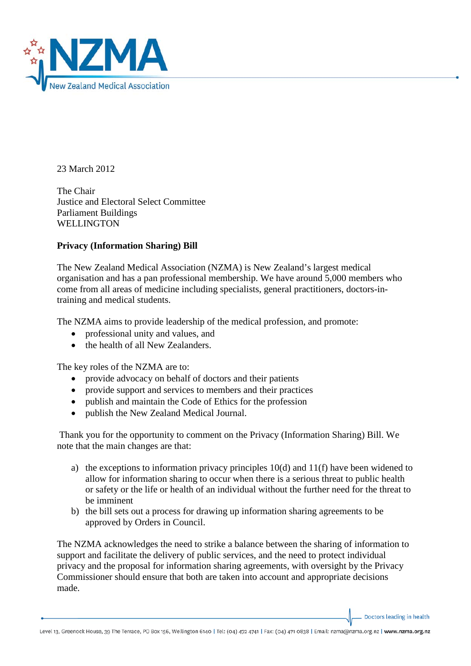

23 March 2012

The Chair Justice and Electoral Select Committee Parliament Buildings **WELLINGTON** 

## **Privacy (Information Sharing) Bill**

The New Zealand Medical Association (NZMA) is New Zealand's largest medical organisation and has a pan professional membership. We have around 5,000 members who come from all areas of medicine including specialists, general practitioners, doctors-intraining and medical students.

The NZMA aims to provide leadership of the medical profession, and promote:

- professional unity and values, and
- the health of all New Zealanders.

The key roles of the NZMA are to:

- provide advocacy on behalf of doctors and their patients
- provide support and services to members and their practices
- publish and maintain the Code of Ethics for the profession
- publish the New Zealand Medical Journal.

Thank you for the opportunity to comment on the Privacy (Information Sharing) Bill. We note that the main changes are that:

- a) the exceptions to information privacy principles  $10(d)$  and  $11(f)$  have been widened to allow for information sharing to occur when there is a serious threat to public health or safety or the life or health of an individual without the further need for the threat to be imminent
- b) the bill sets out a process for drawing up information sharing agreements to be approved by Orders in Council.

The NZMA acknowledges the need to strike a balance between the sharing of information to support and facilitate the delivery of public services, and the need to protect individual privacy and the proposal for information sharing agreements, with oversight by the Privacy Commissioner should ensure that both are taken into account and appropriate decisions made.

Doctors leading in health